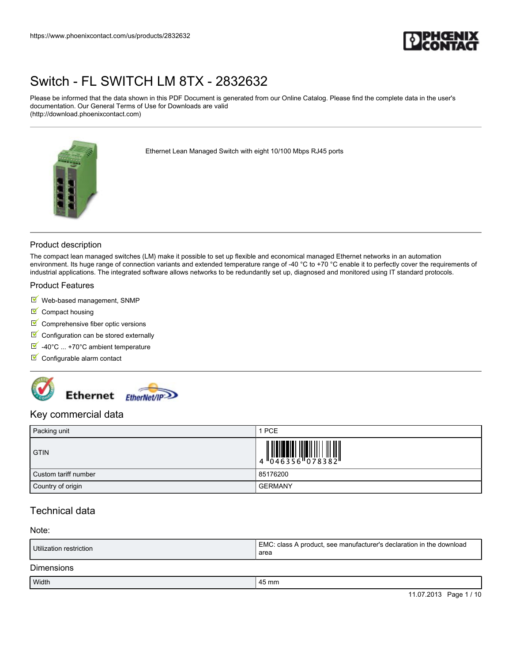

Please be informed that the data shown in this PDF Document is generated from our Online Catalog. Please find the complete data in the user's documentation. Our General Terms of Use for Downloads are valid (http://download.phoenixcontact.com)



Ethernet Lean Managed Switch with eight 10/100 Mbps RJ45 ports

## Product description

The compact lean managed switches (LM) make it possible to set up flexible and economical managed Ethernet networks in an automation environment. Its huge range of connection variants and extended temperature range of -40 °C to +70 °C enable it to perfectly cover the requirements of industrial applications. The integrated software allows networks to be redundantly set up, diagnosed and monitored using IT standard protocols.

### Product Features

- Web-based management, SNMP
- $\blacksquare$  Compact housing
- $\blacksquare$  Comprehensive fiber optic versions
- $\blacksquare$  Configuration can be stored externally
- $\blacksquare$  -40°C ... +70°C ambient temperature
- Configurable alarm contact



## Key commercial data

| Packing unit         | 1 PCE          |
|----------------------|----------------|
| <b>GTIN</b>          |                |
| Custom tariff number | 85176200       |
| Country of origin    | <b>GERMANY</b> |

# Technical data

### Note:

| Utilization restriction | EMC: class A product, see manufacturer's declaration in the download<br>area |
|-------------------------|------------------------------------------------------------------------------|
| <b>Dimensions</b>       |                                                                              |
| . <i>.</i>              | $\overline{\phantom{0}}$                                                     |

| <b>Width</b> | $\overline{\phantom{0}}$<br>45 mm |  |
|--------------|-----------------------------------|--|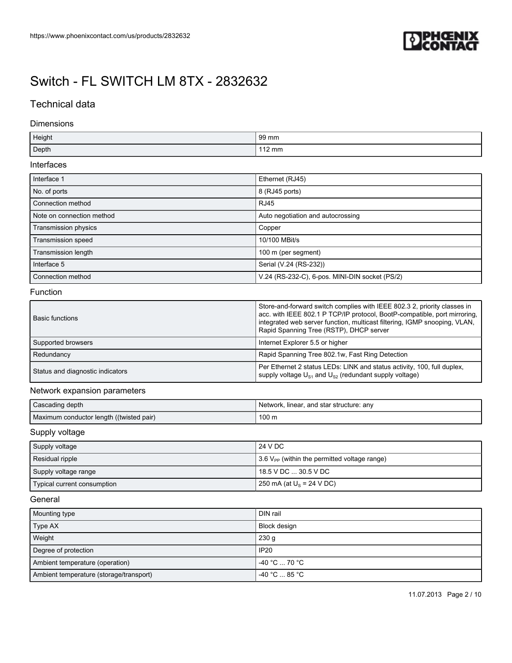

# Technical data

### Dimensions

| Height | 99 mm         |
|--------|---------------|
| Depth  | 110<br>∣12 mm |

### Interfaces

| Interface 1               | Ethernet (RJ45)                                |
|---------------------------|------------------------------------------------|
| No. of ports              | 8 (RJ45 ports)                                 |
| Connection method         | <b>RJ45</b>                                    |
| Note on connection method | Auto negotiation and autocrossing              |
| Transmission physics      | Copper                                         |
| Transmission speed        | 10/100 MBit/s                                  |
| Transmission length       | 100 m (per segment)                            |
| Interface 5               | Serial (V.24 (RS-232))                         |
| Connection method         | V.24 (RS-232-C), 6-pos. MINI-DIN socket (PS/2) |

## Function

| <b>Basic functions</b>           | Store-and-forward switch complies with IEEE 802.3 2, priority classes in<br>acc. with IEEE 802.1 P TCP/IP protocol, BootP-compatible, port mirroring,<br>integrated web server function, multicast filtering, IGMP snooping, VLAN,<br>Rapid Spanning Tree (RSTP), DHCP server |
|----------------------------------|-------------------------------------------------------------------------------------------------------------------------------------------------------------------------------------------------------------------------------------------------------------------------------|
| Supported browsers               | Internet Explorer 5.5 or higher                                                                                                                                                                                                                                               |
| Redundancy                       | Rapid Spanning Tree 802.1w, Fast Ring Detection                                                                                                                                                                                                                               |
| Status and diagnostic indicators | Per Ethernet 2 status LEDs: LINK and status activity, 100, full duplex,<br>supply voltage $U_{s_1}$ and $U_{s_2}$ (redundant supply voltage)                                                                                                                                  |

### Network expansion parameters

| Cascading depth                          | Network, linear, and star structure: any |
|------------------------------------------|------------------------------------------|
| Maximum conductor length ((twisted pair) | 100 <sub>m</sub>                         |

## Supply voltage

| Supply voltage              | 24 V DC                                                                |
|-----------------------------|------------------------------------------------------------------------|
| Residual ripple             | $\frac{1}{2}$ 3.6 V <sub>PP</sub> (within the permitted voltage range) |
| Supply voltage range        | 18.5 V DC  30.5 V DC                                                   |
| Typical current consumption | 250 mA (at $U_s$ = 24 V DC)                                            |

## General

| Mounting type                           | DIN rail            |
|-----------------------------------------|---------------------|
| Type AX                                 | <b>Block design</b> |
| Weight                                  | 230 <sub>q</sub>    |
| Degree of protection                    | <b>IP20</b>         |
| Ambient temperature (operation)         | $-40 °C  70 °C$     |
| Ambient temperature (storage/transport) | $-40 °C  85 °C$     |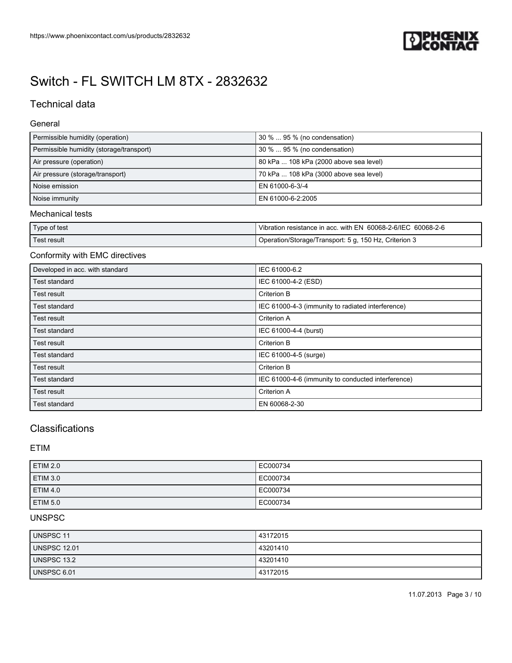

# Technical data

### General

| Permissible humidity (operation)         | 30 %  95 % (no condensation)           |
|------------------------------------------|----------------------------------------|
| Permissible humidity (storage/transport) | 1 30 %  95 % (no condensation)         |
| Air pressure (operation)                 | 80 kPa  108 kPa (2000 above sea level) |
| Air pressure (storage/transport)         | 70 kPa  108 kPa (3000 above sea level) |
| Noise emission                           | LEN 61000-6-3/-4                       |
| Noise immunity                           | EN 61000-6-2:2005                      |

## Mechanical tests

| Type of test | Vibration resistance in acc. with EN 60068-2-6/IEC 60068-2-6 |
|--------------|--------------------------------------------------------------|
| Test result  | Operation/Storage/Transport: 5 g, 150 Hz, Criterion 3        |

## Conformity with EMC directives

| Developed in acc. with standard | IEC 61000-6.2                                      |
|---------------------------------|----------------------------------------------------|
| Test standard                   | IEC 61000-4-2 (ESD)                                |
| Test result                     | Criterion B                                        |
| Test standard                   | IEC 61000-4-3 (immunity to radiated interference)  |
| Test result                     | <b>Criterion A</b>                                 |
| Test standard                   | IEC 61000-4-4 (burst)                              |
| Test result                     | <b>Criterion B</b>                                 |
| Test standard                   | IEC 61000-4-5 (surge)                              |
| Test result                     | Criterion B                                        |
| Test standard                   | IEC 61000-4-6 (immunity to conducted interference) |
| Test result                     | <b>Criterion A</b>                                 |
| Test standard                   | EN 60068-2-30                                      |

# **Classifications**

ETIM

| ETIM 2.0        | EC000734 |
|-----------------|----------|
| ETIM 3.0        | EC000734 |
| <b>ETIM 4.0</b> | EC000734 |
| <b>ETIM 5.0</b> | EC000734 |

# UNSPSC

| <b>UNSPSC 11</b>    | 43172015 |
|---------------------|----------|
| <b>UNSPSC 12.01</b> | 43201410 |
| UNSPSC 13.2         | 43201410 |
| <b>UNSPSC 6.01</b>  | 43172015 |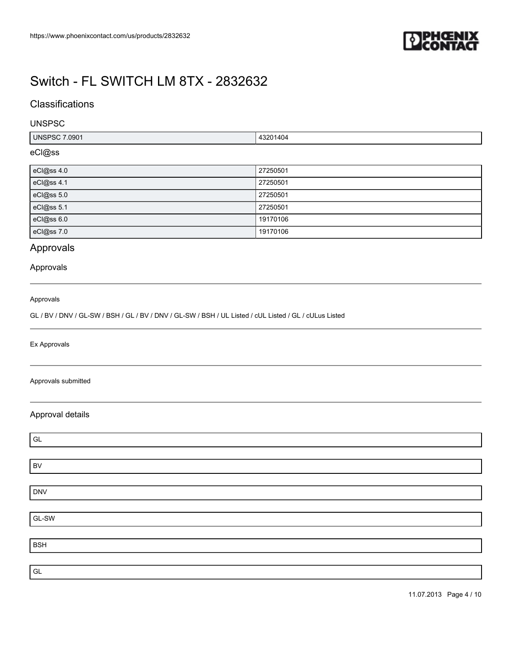

# **Classifications**

### UNSPSC

| 7.0901<br>UNSPSC <sup>1</sup> | 13201404 |
|-------------------------------|----------|
|                               |          |

# eCl@ss

| eCl@ss 4.0 | 27250501 |
|------------|----------|
| eCl@ss 4.1 | 27250501 |
| eCl@ss 5.0 | 27250501 |
| eCl@ss 5.1 | 27250501 |
| eCl@ss 6.0 | 19170106 |
| eCl@ss 7.0 | 19170106 |

# Approvals

### Approvals

#### Approvals

GL / BV / DNV / GL-SW / BSH / GL / BV / DNV / GL-SW / BSH / UL Listed / cUL Listed / GL / cULus Listed

Ex Approvals

#### Approvals submitted

## Approval details

| $\mathsf{GL}%$ |  |
|----------------|--|
|                |  |
| <b>BV</b>      |  |
|                |  |
| <b>DNV</b>     |  |
|                |  |
| $GL-SW$        |  |
|                |  |
| <b>BSH</b>     |  |
|                |  |
| $\mathsf{GL}%$ |  |

11.07.2013 Page 4 / 10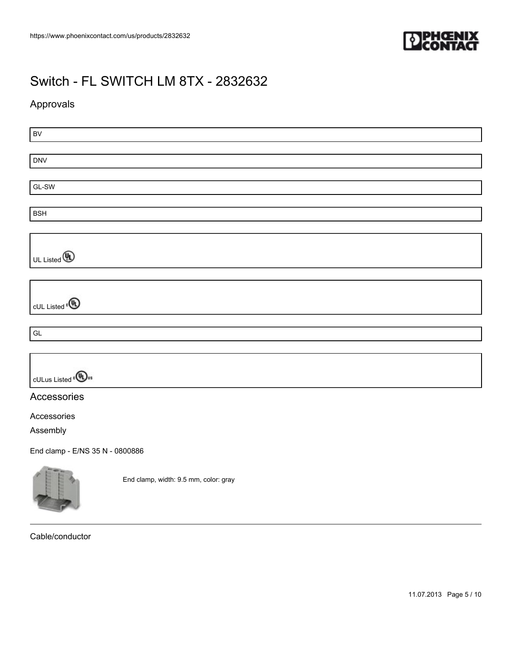

# Approvals

| BV                                        |                                       |  |
|-------------------------------------------|---------------------------------------|--|
|                                           |                                       |  |
| <b>DNV</b>                                |                                       |  |
|                                           |                                       |  |
| GL-SW                                     |                                       |  |
|                                           |                                       |  |
| <b>BSH</b>                                |                                       |  |
|                                           |                                       |  |
|                                           |                                       |  |
| UL Listed <b>(D)</b>                      |                                       |  |
|                                           |                                       |  |
|                                           |                                       |  |
|                                           |                                       |  |
| cUL Listed <sup>®</sup>                   |                                       |  |
|                                           |                                       |  |
| $\mathsf{GL}% _{k}(G,\mathbb{R})$         |                                       |  |
|                                           |                                       |  |
|                                           |                                       |  |
|                                           |                                       |  |
| cULus Listed <sup>e(UD<sub>us</sub></sup> |                                       |  |
| Accessories                               |                                       |  |
|                                           |                                       |  |
| Accessories                               |                                       |  |
| Assembly                                  |                                       |  |
| End clamp - E/NS 35 N - 0800886           |                                       |  |
|                                           | End clamp, width: 9.5 mm, color: gray |  |

Cable/conductor

 $\sim$ 

11.07.2013 Page 5 / 10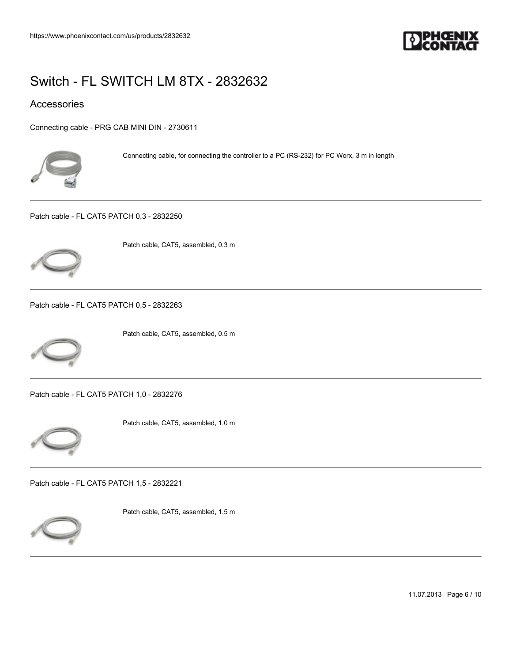

## Accessories

[Connecting cable - PRG CAB MINI DIN - 2730611](https://www.phoenixcontact.com/us/products/2730611)



Connecting cable, for connecting the controller to a PC (RS-232) for PC Worx, 3 m in length

[Patch cable - FL CAT5 PATCH 0,3 - 2832250](https://www.phoenixcontact.com/us/products/2832250)



Patch cable, CAT5, assembled, 0.3 m

[Patch cable - FL CAT5 PATCH 0,5 - 2832263](https://www.phoenixcontact.com/us/products/2832263)



Patch cable, CAT5, assembled, 0.5 m

[Patch cable - FL CAT5 PATCH 1,0 - 2832276](https://www.phoenixcontact.com/us/products/2832276)



Patch cable, CAT5, assembled, 1.0 m

[Patch cable - FL CAT5 PATCH 1,5 - 2832221](https://www.phoenixcontact.com/us/products/2832221)



Patch cable, CAT5, assembled, 1.5 m

11.07.2013 Page 6 / 10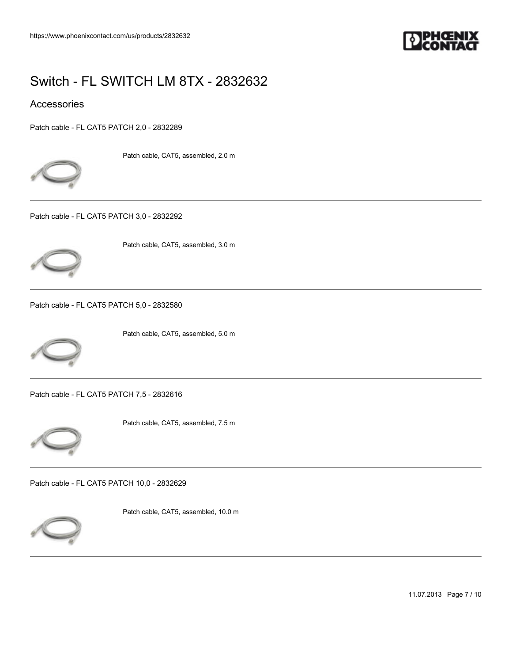

## Accessories

[Patch cable - FL CAT5 PATCH 2,0 - 2832289](https://www.phoenixcontact.com/us/products/2832289)



Patch cable, CAT5, assembled, 2.0 m

[Patch cable - FL CAT5 PATCH 3,0 - 2832292](https://www.phoenixcontact.com/us/products/2832292)



Patch cable, CAT5, assembled, 3.0 m

[Patch cable - FL CAT5 PATCH 5,0 - 2832580](https://www.phoenixcontact.com/us/products/2832580)



Patch cable, CAT5, assembled, 5.0 m

[Patch cable - FL CAT5 PATCH 7,5 - 2832616](https://www.phoenixcontact.com/us/products/2832616)



Patch cable, CAT5, assembled, 7.5 m

[Patch cable - FL CAT5 PATCH 10,0 - 2832629](https://www.phoenixcontact.com/us/products/2832629)



Patch cable, CAT5, assembled, 10.0 m

11.07.2013 Page 7 / 10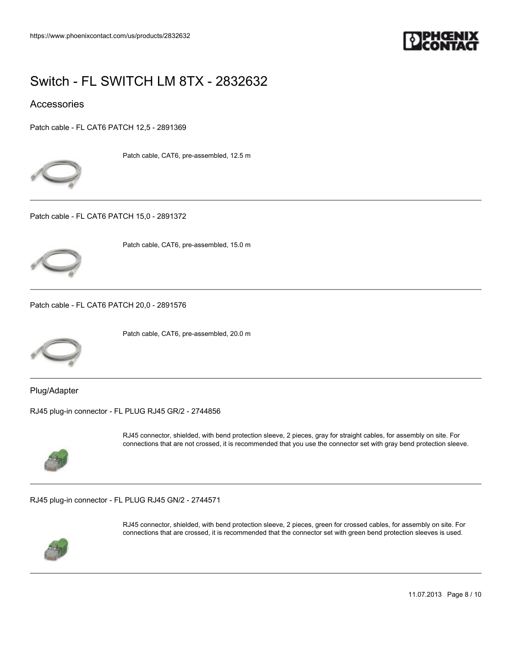

## **Accessories**

[Patch cable - FL CAT6 PATCH 12,5 - 2891369](https://www.phoenixcontact.com/us/products/2891369)



Patch cable, CAT6, pre-assembled, 12.5 m

[Patch cable - FL CAT6 PATCH 15,0 - 2891372](https://www.phoenixcontact.com/us/products/2891372)



Patch cable, CAT6, pre-assembled, 15.0 m

[Patch cable - FL CAT6 PATCH 20,0 - 2891576](https://www.phoenixcontact.com/us/products/2891576)



Patch cable, CAT6, pre-assembled, 20.0 m

Plug/Adapter

[RJ45 plug-in connector - FL PLUG RJ45 GR/2 - 2744856](https://www.phoenixcontact.com/us/products/2744856)



RJ45 connector, shielded, with bend protection sleeve, 2 pieces, gray for straight cables, for assembly on site. For connections that are not crossed, it is recommended that you use the connector set with gray bend protection sleeve.

[RJ45 plug-in connector - FL PLUG RJ45 GN/2 - 2744571](https://www.phoenixcontact.com/us/products/2744571)



RJ45 connector, shielded, with bend protection sleeve, 2 pieces, green for crossed cables, for assembly on site. For connections that are crossed, it is recommended that the connector set with green bend protection sleeves is used.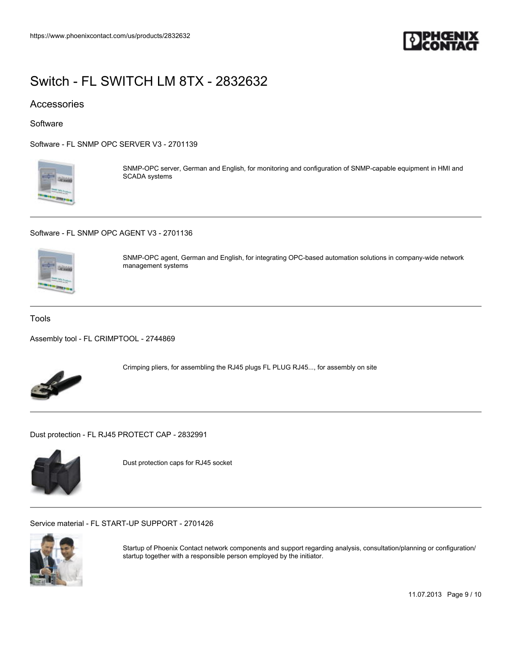

## Accessories

**Software** 

[Software - FL SNMP OPC SERVER V3 - 2701139](https://www.phoenixcontact.com/us/products/2701139)



SNMP-OPC server, German and English, for monitoring and configuration of SNMP-capable equipment in HMI and SCADA systems

[Software - FL SNMP OPC AGENT V3 - 2701136](https://www.phoenixcontact.com/us/products/2701136)



SNMP-OPC agent, German and English, for integrating OPC-based automation solutions in company-wide network management systems

#### Tools

[Assembly tool - FL CRIMPTOOL - 2744869](https://www.phoenixcontact.com/us/products/2744869)



Crimping pliers, for assembling the RJ45 plugs FL PLUG RJ45..., for assembly on site

[Dust protection - FL RJ45 PROTECT CAP - 2832991](https://www.phoenixcontact.com/us/products/2832991)



Dust protection caps for RJ45 socket

[Service material - FL START-UP SUPPORT - 2701426](https://www.phoenixcontact.com/us/products/2701426)



Startup of Phoenix Contact network components and support regarding analysis, consultation/planning or configuration/ startup together with a responsible person employed by the initiator.